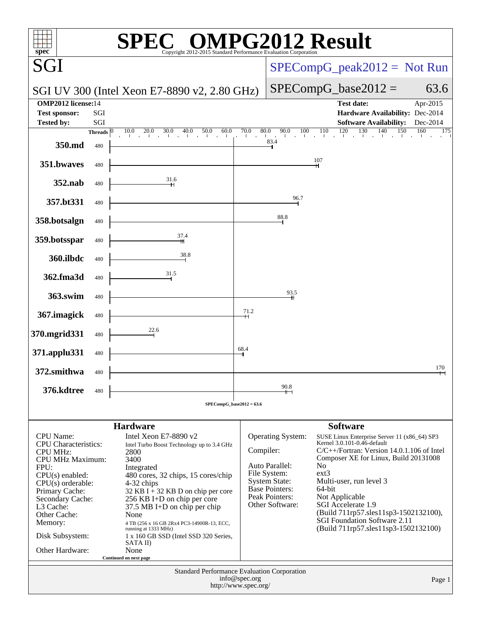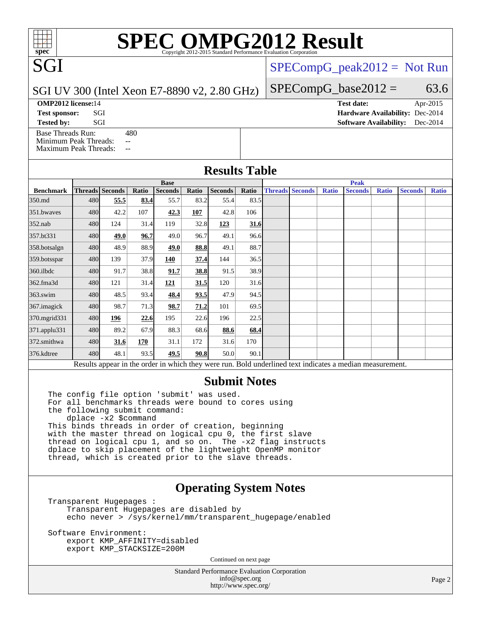# **[SPEC OMPG2012 Result](http://www.spec.org/auto/omp2012/Docs/result-fields.html#SPECOMPG2012Result)**

 $SPECompG_peak2012 = Not Run$  $SPECompG_peak2012 = Not Run$ 

 $SPECompG_base2012 = 63.6$  $SPECompG_base2012 = 63.6$ 

#### SGI UV 300 (Intel Xeon E7-8890 v2, 2.80 GHz)

**[OMP2012 license:](http://www.spec.org/auto/omp2012/Docs/result-fields.html#OMP2012license)**14 **[Test date:](http://www.spec.org/auto/omp2012/Docs/result-fields.html#Testdate)** Apr-2015

SGI

**[Tested by:](http://www.spec.org/auto/omp2012/Docs/result-fields.html#Testedby)** SGI SOLUTE: SGI SOFtware Availability: Dec-2014 [Base Threads Run:](http://www.spec.org/auto/omp2012/Docs/result-fields.html#BaseThreadsRun) 480

[Minimum Peak Threads:](http://www.spec.org/auto/omp2012/Docs/result-fields.html#MinimumPeakThreads) --[Maximum Peak Threads:](http://www.spec.org/auto/omp2012/Docs/result-fields.html#MaximumPeakThreads) --

# **[Test sponsor:](http://www.spec.org/auto/omp2012/Docs/result-fields.html#Testsponsor)** SGI **[Hardware Availability:](http://www.spec.org/auto/omp2012/Docs/result-fields.html#HardwareAvailability)** Dec-2014

| <b>Results Table</b> |  |
|----------------------|--|
|                      |  |

|                  | <b>Base</b> |                 |       |                |       | <b>Peak</b>    |       |  |                        |              |                                                                                                          |              |                |              |
|------------------|-------------|-----------------|-------|----------------|-------|----------------|-------|--|------------------------|--------------|----------------------------------------------------------------------------------------------------------|--------------|----------------|--------------|
| <b>Benchmark</b> |             | Threads Seconds | Ratio | <b>Seconds</b> | Ratio | <b>Seconds</b> | Ratio |  | <b>Threads Seconds</b> | <b>Ratio</b> | <b>Seconds</b>                                                                                           | <b>Ratio</b> | <b>Seconds</b> | <b>Ratio</b> |
| 350.md           | 480         | 55.5            | 83.4  | 55.7           | 83.2  | 55.4           | 83.5  |  |                        |              |                                                                                                          |              |                |              |
| 351.bwaves       | 480         | 42.2            | 107   | 42.3           | 107   | 42.8           | 106   |  |                        |              |                                                                                                          |              |                |              |
| $352$ .nab       | 480         | 124             | 31.4  | 119            | 32.8  | 123            | 31.6  |  |                        |              |                                                                                                          |              |                |              |
| 357.bt331        | 480         | 49.0            | 96.7  | 49.0           | 96.7  | 49.1           | 96.6  |  |                        |              |                                                                                                          |              |                |              |
| 358.botsalgn     | 480         | 48.9            | 88.9  | 49.0           | 88.8  | 49.1           | 88.7  |  |                        |              |                                                                                                          |              |                |              |
| 359.botsspar     | 480         | 139             | 37.9  | 140            | 37.4  | 144            | 36.5  |  |                        |              |                                                                                                          |              |                |              |
| $360$ .ilbdc     | 480         | 91.7            | 38.8  | 91.7           | 38.8  | 91.5           | 38.9  |  |                        |              |                                                                                                          |              |                |              |
| 362.fma3d        | 480         | 121             | 31.4  | 121            | 31.5  | 120            | 31.6  |  |                        |              |                                                                                                          |              |                |              |
| $363$ .swim      | 480         | 48.5            | 93.4  | 48.4           | 93.5  | 47.9           | 94.5  |  |                        |              |                                                                                                          |              |                |              |
| 367.imagick      | 480         | 98.7            | 71.3  | 98.7           | 71.2  | 101            | 69.5  |  |                        |              |                                                                                                          |              |                |              |
| 370.mgrid331     | 480         | 196             | 22.6  | 195            | 22.6  | 196            | 22.5  |  |                        |              |                                                                                                          |              |                |              |
| 371.applu331     | 480         | 89.2            | 67.9  | 88.3           | 68.6  | 88.6           | 68.4  |  |                        |              |                                                                                                          |              |                |              |
| 372.smithwa      | 480         | 31.6            | 170   | 31.1           | 172   | 31.6           | 170   |  |                        |              |                                                                                                          |              |                |              |
| 376.kdtree       | 480         | 48.1            | 93.5  | 49.5           | 90.8  | 50.0           | 90.1  |  |                        |              |                                                                                                          |              |                |              |
|                  |             |                 |       |                |       |                |       |  |                        |              | Results appear in the order in which they were run. Bold underlined text indicates a median measurement. |              |                |              |

#### **[Submit Notes](http://www.spec.org/auto/omp2012/Docs/result-fields.html#SubmitNotes)**

The config file option 'submit' was used. For all benchmarks threads were bound to cores using the following submit command: dplace -x2 \$command This binds threads in order of creation, beginning with the master thread on logical cpu 0, the first slave thread on logical cpu 1, and so on. The -x2 flag instructs dplace to skip placement of the lightweight OpenMP monitor thread, which is created prior to the slave threads.

### **[Operating System Notes](http://www.spec.org/auto/omp2012/Docs/result-fields.html#OperatingSystemNotes)**

Transparent Hugepages : Transparent Hugepages are disabled by echo never > /sys/kernel/mm/transparent\_hugepage/enabled

Software Environment: export KMP\_AFFINITY=disabled export KMP\_STACKSIZE=200M

Continued on next page

Standard Performance Evaluation Corporation [info@spec.org](mailto:info@spec.org) <http://www.spec.org/>

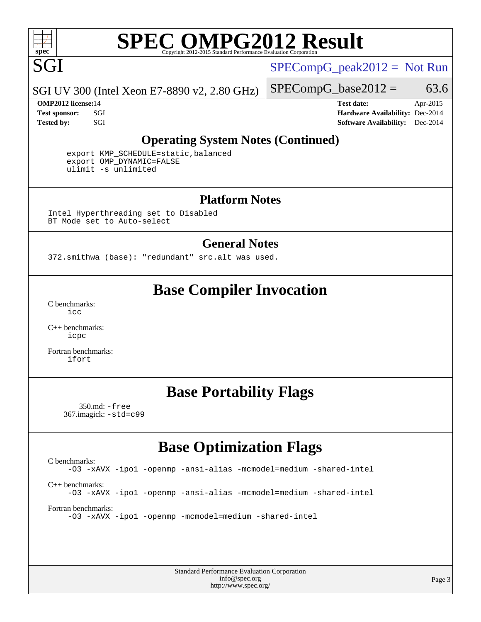

# **[SPEC OMPG2012 Result](http://www.spec.org/auto/omp2012/Docs/result-fields.html#SPECOMPG2012Result)**

 $SPECompG_peak2012 = Not Run$  $SPECompG_peak2012 = Not Run$ 

SGI UV 300 (Intel Xeon E7-8890 v2, 2.80 GHz)

 $SPECompG_base2012 = 63.6$  $SPECompG_base2012 = 63.6$ 

**[OMP2012 license:](http://www.spec.org/auto/omp2012/Docs/result-fields.html#OMP2012license)**14 **[Test date:](http://www.spec.org/auto/omp2012/Docs/result-fields.html#Testdate)** Apr-2015 **[Test sponsor:](http://www.spec.org/auto/omp2012/Docs/result-fields.html#Testsponsor)** SGI **[Hardware Availability:](http://www.spec.org/auto/omp2012/Docs/result-fields.html#HardwareAvailability)** Dec-2014 **[Tested by:](http://www.spec.org/auto/omp2012/Docs/result-fields.html#Testedby)** SGI SOFTWARE AVAILABILITY: Dec-2014

## **[Operating System Notes \(Continued\)](http://www.spec.org/auto/omp2012/Docs/result-fields.html#OperatingSystemNotes)**

 export KMP\_SCHEDULE=static,balanced export OMP\_DYNAMIC=FALSE ulimit -s unlimited

#### **[Platform Notes](http://www.spec.org/auto/omp2012/Docs/result-fields.html#PlatformNotes)**

Intel Hyperthreading set to Disabled BT Mode set to Auto-select

#### **[General Notes](http://www.spec.org/auto/omp2012/Docs/result-fields.html#GeneralNotes)**

372.smithwa (base): "redundant" src.alt was used.

## **[Base Compiler Invocation](http://www.spec.org/auto/omp2012/Docs/result-fields.html#BaseCompilerInvocation)**

[C benchmarks](http://www.spec.org/auto/omp2012/Docs/result-fields.html#Cbenchmarks): [icc](http://www.spec.org/omp2012/results/res2015q2/omp2012-20150414-00063.flags.html#user_CCbase_intel_icc_a87c68a857bc5ec5362391a49d3a37a6)

[C++ benchmarks:](http://www.spec.org/auto/omp2012/Docs/result-fields.html#CXXbenchmarks) [icpc](http://www.spec.org/omp2012/results/res2015q2/omp2012-20150414-00063.flags.html#user_CXXbase_intel_icpc_2d899f8d163502b12eb4a60069f80c1c)

[Fortran benchmarks](http://www.spec.org/auto/omp2012/Docs/result-fields.html#Fortranbenchmarks): [ifort](http://www.spec.org/omp2012/results/res2015q2/omp2012-20150414-00063.flags.html#user_FCbase_intel_ifort_8a5e5e06b19a251bdeaf8fdab5d62f20)

## **[Base Portability Flags](http://www.spec.org/auto/omp2012/Docs/result-fields.html#BasePortabilityFlags)**

 350.md: [-free](http://www.spec.org/omp2012/results/res2015q2/omp2012-20150414-00063.flags.html#user_baseFPORTABILITY350_md_free) 367.imagick: [-std=c99](http://www.spec.org/omp2012/results/res2015q2/omp2012-20150414-00063.flags.html#user_baseCPORTABILITY367_imagick_std_2ec6533b6e06f1c4a6c9b78d9e9cde24)

## **[Base Optimization Flags](http://www.spec.org/auto/omp2012/Docs/result-fields.html#BaseOptimizationFlags)**

[C benchmarks](http://www.spec.org/auto/omp2012/Docs/result-fields.html#Cbenchmarks): [-O3](http://www.spec.org/omp2012/results/res2015q2/omp2012-20150414-00063.flags.html#user_CCbase_f-O3) [-xAVX](http://www.spec.org/omp2012/results/res2015q2/omp2012-20150414-00063.flags.html#user_CCbase_f-xAVX) [-ipo1](http://www.spec.org/omp2012/results/res2015q2/omp2012-20150414-00063.flags.html#user_CCbase_f-ipo_116921c2575d566c213f1dd5e08493d2) [-openmp](http://www.spec.org/omp2012/results/res2015q2/omp2012-20150414-00063.flags.html#user_CCbase_f-openmp) [-ansi-alias](http://www.spec.org/omp2012/results/res2015q2/omp2012-20150414-00063.flags.html#user_CCbase_f-ansi-alias) [-mcmodel=medium](http://www.spec.org/omp2012/results/res2015q2/omp2012-20150414-00063.flags.html#user_CCbase_f-mcmodel_3a41622424bdd074c4f0f2d2f224c7e5) [-shared-intel](http://www.spec.org/omp2012/results/res2015q2/omp2012-20150414-00063.flags.html#user_CCbase_f-shared-intel) [C++ benchmarks:](http://www.spec.org/auto/omp2012/Docs/result-fields.html#CXXbenchmarks) [-O3](http://www.spec.org/omp2012/results/res2015q2/omp2012-20150414-00063.flags.html#user_CXXbase_f-O3) [-xAVX](http://www.spec.org/omp2012/results/res2015q2/omp2012-20150414-00063.flags.html#user_CXXbase_f-xAVX) [-ipo1](http://www.spec.org/omp2012/results/res2015q2/omp2012-20150414-00063.flags.html#user_CXXbase_f-ipo_116921c2575d566c213f1dd5e08493d2) [-openmp](http://www.spec.org/omp2012/results/res2015q2/omp2012-20150414-00063.flags.html#user_CXXbase_f-openmp) [-ansi-alias](http://www.spec.org/omp2012/results/res2015q2/omp2012-20150414-00063.flags.html#user_CXXbase_f-ansi-alias) [-mcmodel=medium](http://www.spec.org/omp2012/results/res2015q2/omp2012-20150414-00063.flags.html#user_CXXbase_f-mcmodel_3a41622424bdd074c4f0f2d2f224c7e5) [-shared-intel](http://www.spec.org/omp2012/results/res2015q2/omp2012-20150414-00063.flags.html#user_CXXbase_f-shared-intel) [Fortran benchmarks](http://www.spec.org/auto/omp2012/Docs/result-fields.html#Fortranbenchmarks): [-O3](http://www.spec.org/omp2012/results/res2015q2/omp2012-20150414-00063.flags.html#user_FCbase_f-O3) [-xAVX](http://www.spec.org/omp2012/results/res2015q2/omp2012-20150414-00063.flags.html#user_FCbase_f-xAVX) [-ipo1](http://www.spec.org/omp2012/results/res2015q2/omp2012-20150414-00063.flags.html#user_FCbase_f-ipo_116921c2575d566c213f1dd5e08493d2) [-openmp](http://www.spec.org/omp2012/results/res2015q2/omp2012-20150414-00063.flags.html#user_FCbase_f-openmp) [-mcmodel=medium](http://www.spec.org/omp2012/results/res2015q2/omp2012-20150414-00063.flags.html#user_FCbase_f-mcmodel_3a41622424bdd074c4f0f2d2f224c7e5) [-shared-intel](http://www.spec.org/omp2012/results/res2015q2/omp2012-20150414-00063.flags.html#user_FCbase_f-shared-intel)

> Standard Performance Evaluation Corporation [info@spec.org](mailto:info@spec.org) <http://www.spec.org/>